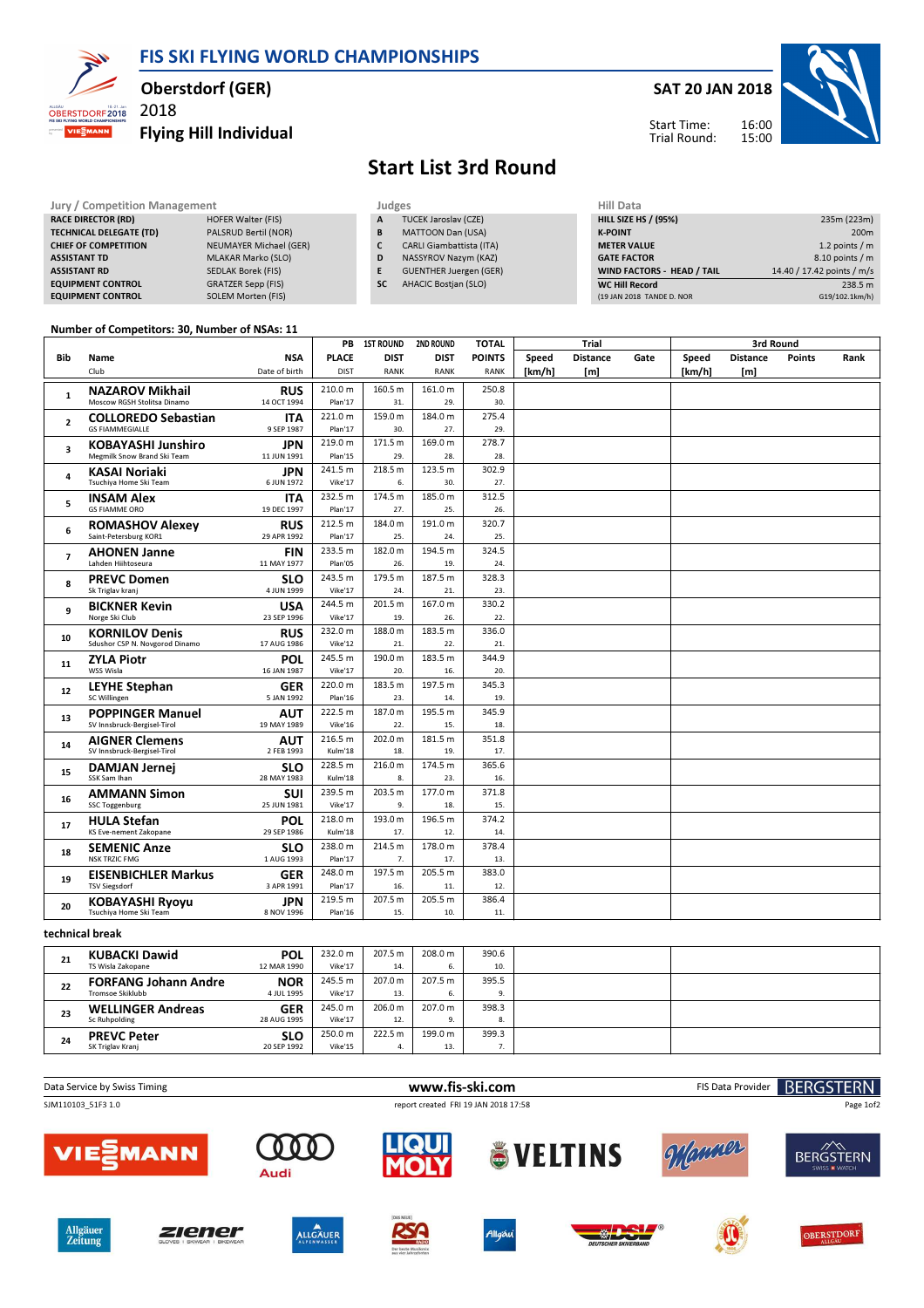FIS SKI FLYING WORLD CHAMPIONSHIPS



Allgäuer<br>Zeitung

ziener

**ALLGAUER** 

## Oberstdorf (GER)

2018

Flying Hill Individual



OBERSTDORF

## Start List 3rd Round

| Jury / Competition Management  |                               |           | Judges                          | Hill Data                         |                            |  |  |
|--------------------------------|-------------------------------|-----------|---------------------------------|-----------------------------------|----------------------------|--|--|
| <b>RACE DIRECTOR (RD)</b>      | <b>HOFER Walter (FIS)</b>     | A         | TUCEK Jaroslav (CZE)            | <b>HILL SIZE HS / (95%)</b>       | 235m (223m)                |  |  |
| <b>TECHNICAL DELEGATE (TD)</b> | PALSRUD Bertil (NOR)          | B         | <b>MATTOON Dan (USA)</b>        | <b>K-POINT</b>                    | 200 <sub>m</sub>           |  |  |
| <b>CHIEF OF COMPETITION</b>    | <b>NEUMAYER Michael (GER)</b> |           | <b>CARLI Giambattista (ITA)</b> | <b>METER VALUE</b>                | 1.2 points $/m$            |  |  |
| <b>ASSISTANT TD</b>            | <b>MLAKAR Marko (SLO)</b>     | D         | NASSYROV Nazym (KAZ)            | <b>GATE FACTOR</b>                | 8.10 points / m            |  |  |
| <b>ASSISTANT RD</b>            | SEDLAK Borek (FIS)            |           | <b>GUENTHER Juergen (GER)</b>   | <b>WIND FACTORS - HEAD / TAIL</b> | 14.40 / 17.42 points / m/s |  |  |
| <b>EQUIPMENT CONTROL</b>       | GRATZER Sepp (FIS)            | <b>SC</b> | <b>AHACIC Bostjan (SLO)</b>     | <b>WC Hill Record</b>             | 238.5 m                    |  |  |
| <b>EQUIPMENT CONTROL</b>       | SOLEM Morten (FIS)            |           |                                 | (19 JAN 2018 TANDE D. NOR         | G19/102.1km/h)             |  |  |

## Number of Competitors: 30, Number of NSAs: 11

|                |                                                        |                           | PB                 | <b>1ST ROUND</b> | <b>2ND ROUND</b> | <b>TOTAL</b>  |        | Trial           |      |        | 3rd Round       |                 |      |  |  |  |  |  |  |  |  |  |
|----------------|--------------------------------------------------------|---------------------------|--------------------|------------------|------------------|---------------|--------|-----------------|------|--------|-----------------|-----------------|------|--|--|--|--|--|--|--|--|--|
| Bib            | Name                                                   | <b>NSA</b>                | <b>PLACE</b>       | <b>DIST</b>      | <b>DIST</b>      | <b>POINTS</b> | Speed  | <b>Distance</b> | Gate | Speed  | <b>Distance</b> | <b>Points</b>   | Rank |  |  |  |  |  |  |  |  |  |
|                | Club                                                   | Date of birth             | <b>DIST</b>        | <b>RANK</b>      | <b>RANK</b>      | <b>RANK</b>   | [km/h] | [m]             |      | [km/h] | [m]             |                 |      |  |  |  |  |  |  |  |  |  |
|                | <b>NAZAROV Mikhail</b>                                 | <b>RUS</b>                | 210.0 m            | 160.5 m          | 161.0 m          | 250.8         |        |                 |      |        |                 |                 |      |  |  |  |  |  |  |  |  |  |
| $\mathbf{1}$   | Moscow RGSH Stolitsa Dinamo                            | 14 OCT 1994               | Plan'17            | 31.              | 29.              | 30.           |        |                 |      |        |                 |                 |      |  |  |  |  |  |  |  |  |  |
| $\overline{2}$ | <b>COLLOREDO Sebastian</b>                             | <b>ITA</b>                | 221.0 m            | 159.0 m          | 184.0 m          | 275.4         |        |                 |      |        |                 |                 |      |  |  |  |  |  |  |  |  |  |
|                | <b>GS FIAMMEGIALLE</b>                                 | 9 SEP 1987                | Plan'17            | 30.              | 27.              | 29.           |        |                 |      |        |                 |                 |      |  |  |  |  |  |  |  |  |  |
| 3              | <b>KOBAYASHI Junshiro</b>                              | <b>JPN</b>                | 219.0 m            | 171.5 m          | 169.0 m          | 278.7         |        |                 |      |        |                 |                 |      |  |  |  |  |  |  |  |  |  |
|                | Megmilk Snow Brand Ski Team                            | 11 JUN 1991               | Plan'15            | 29.              | 28.              | 28.           |        |                 |      |        |                 |                 |      |  |  |  |  |  |  |  |  |  |
| $\overline{a}$ | <b>KASAI Noriaki</b>                                   | <b>JPN</b>                | 241.5 m            | 218.5 m          | 123.5 m          | 302.9         |        |                 |      |        |                 |                 |      |  |  |  |  |  |  |  |  |  |
|                | Tsuchiya Home Ski Team                                 | 6 JUN 1972                | Vike'17            | 6.               | 30.              | 27.           |        |                 |      |        |                 |                 |      |  |  |  |  |  |  |  |  |  |
| 5              | <b>INSAM Alex</b>                                      | <b>ITA</b>                | 232.5 m            | 174.5 m          | 185.0 m          | 312.5         |        |                 |      |        |                 |                 |      |  |  |  |  |  |  |  |  |  |
|                | <b>GS FIAMME ORO</b>                                   | 19 DEC 1997               | Plan'17            | 27.              | 25.              | 26.           |        |                 |      |        |                 |                 |      |  |  |  |  |  |  |  |  |  |
| 6              | <b>ROMASHOV Alexey</b>                                 | <b>RUS</b>                | 212.5 m            | 184.0 m          | 191.0 m          | 320.7         |        |                 |      |        |                 |                 |      |  |  |  |  |  |  |  |  |  |
|                | Saint-Petersburg KOR1                                  | 29 APR 1992               | Plan'17            | 25.              | 24.              | 25.           |        |                 |      |        |                 |                 |      |  |  |  |  |  |  |  |  |  |
| $\overline{7}$ | <b>AHONEN Janne</b>                                    | <b>FIN</b>                | 233.5 m            | 182.0 m          | 194.5 m          | 324.5         |        |                 |      |        |                 |                 |      |  |  |  |  |  |  |  |  |  |
|                | Lahden Hiihtoseura                                     | 11 MAY 1977               | Plan'05            | 26.              | 19.              | 24.           |        |                 |      |        |                 |                 |      |  |  |  |  |  |  |  |  |  |
| 8              | <b>PREVC Domen</b>                                     | <b>SLO</b>                | 243.5 m            | 179.5 m          | 187.5 m          | 328.3         |        |                 |      |        |                 |                 |      |  |  |  |  |  |  |  |  |  |
|                | Sk Triglav kranj                                       | 4 JUN 1999                | Vike'17            | 24.              | 21.              | 23.           |        |                 |      |        |                 |                 |      |  |  |  |  |  |  |  |  |  |
| 9              | <b>BICKNER Kevin</b>                                   | <b>USA</b>                | 244.5 m            | 201.5 m          | 167.0 m          | 330.2         |        |                 |      |        |                 |                 |      |  |  |  |  |  |  |  |  |  |
|                | Norge Ski Club                                         | 23 SEP 1996               | Vike'17            | 19.              | 26.              | 22.           |        |                 |      |        |                 |                 |      |  |  |  |  |  |  |  |  |  |
| 10             | <b>KORNILOV Denis</b>                                  | <b>RUS</b>                | 232.0 m            | 188.0 m          | 183.5 m          | 336.0         |        |                 |      |        |                 |                 |      |  |  |  |  |  |  |  |  |  |
|                | Sdushor CSP N. Novgorod Dinamo                         | 17 AUG 1986               | Vike'12            | 21.              | 22.              | 21.           |        |                 |      |        |                 |                 |      |  |  |  |  |  |  |  |  |  |
| 11             | <b>ZYLA Piotr</b>                                      | <b>POL</b>                | 245.5 m            | 190.0 m          | 183.5 m          | 344.9         |        |                 |      |        |                 |                 |      |  |  |  |  |  |  |  |  |  |
|                | WSS Wisla                                              | 16 JAN 1987               | Vike'17            | 20.              | 16.              | 20.           |        |                 |      |        |                 |                 |      |  |  |  |  |  |  |  |  |  |
| 12             | <b>LEYHE Stephan</b><br>SC Willingen                   | <b>GER</b><br>5 JAN 1992  | 220.0 m<br>Plan'16 | 183.5 m<br>23.   | 197.5 m<br>14.   | 345.3<br>19.  |        |                 |      |        |                 |                 |      |  |  |  |  |  |  |  |  |  |
|                |                                                        |                           | 222.5 m            | 187.0 m          | 195.5 m          | 345.9         |        |                 |      |        |                 |                 |      |  |  |  |  |  |  |  |  |  |
| 13             | <b>POPPINGER Manuel</b><br>SV Innsbruck-Bergisel-Tirol | <b>AUT</b><br>19 MAY 1989 | Vike'16            | 22.              | 15.              | 18.           |        |                 |      |        |                 |                 |      |  |  |  |  |  |  |  |  |  |
|                |                                                        |                           | 216.5 m            | 202.0 m          | 181.5 m          | 351.8         |        |                 |      |        |                 |                 |      |  |  |  |  |  |  |  |  |  |
| 14             | <b>AIGNER Clemens</b><br>SV Innsbruck-Bergisel-Tirol   | AUT<br>2 FEB 1993         | Kulm'18            | 18.              | 19.              | 17.           |        |                 |      |        |                 |                 |      |  |  |  |  |  |  |  |  |  |
|                |                                                        |                           | 228.5 m            | 216.0 m          | 174.5 m          | 365.6         |        |                 |      |        |                 |                 |      |  |  |  |  |  |  |  |  |  |
| 15             | <b>DAMJAN Jernej</b><br>SSK Sam Ihan                   | <b>SLO</b><br>28 MAY 1983 | Kulm'18            | 8.               | 23.              | 16.           |        |                 |      |        |                 |                 |      |  |  |  |  |  |  |  |  |  |
|                |                                                        |                           | 239.5 m            | 203.5 m          | 177.0 m          | 371.8         |        |                 |      |        |                 |                 |      |  |  |  |  |  |  |  |  |  |
| 16             | <b>AMMANN Simon</b><br><b>SSC Toggenburg</b>           | SUI<br>25 JUN 1981        | Vike'17            | 9.               | 18.              | 15.           |        |                 |      |        |                 |                 |      |  |  |  |  |  |  |  |  |  |
|                | <b>HULA Stefan</b>                                     | POL                       | 218.0 m            | 193.0 m          | 196.5 m          | 374.2         |        |                 |      |        |                 |                 |      |  |  |  |  |  |  |  |  |  |
| 17             | KS Eve-nement Zakopane                                 | 29 SEP 1986               | Kulm'18            | 17.              | 12.              | 14.           |        |                 |      |        |                 |                 |      |  |  |  |  |  |  |  |  |  |
|                | <b>SEMENIC Anze</b>                                    | <b>SLO</b>                | 238.0 m            | 214.5 m          | 178.0 m          | 378.4         |        |                 |      |        |                 |                 |      |  |  |  |  |  |  |  |  |  |
| 18             | <b>NSK TRZIC FMG</b>                                   | 1 AUG 1993                | Plan'17            | 7.               | 17.              | 13.           |        |                 |      |        |                 |                 |      |  |  |  |  |  |  |  |  |  |
|                | <b>EISENBICHLER Markus</b>                             | <b>GER</b>                | 248.0 m            | 197.5 m          | 205.5 m          | 383.0         |        |                 |      |        |                 |                 |      |  |  |  |  |  |  |  |  |  |
| 19             | <b>TSV Siegsdorf</b>                                   | 3 APR 1991                | Plan'17            | 16.              | 11.              | 12.           |        |                 |      |        |                 |                 |      |  |  |  |  |  |  |  |  |  |
|                | <b>KOBAYASHI Rvovu</b>                                 | <b>JPN</b>                | 219.5 m            | 207.5 m          | 205.5 m          | 386.4         |        |                 |      |        |                 |                 |      |  |  |  |  |  |  |  |  |  |
| 20             | Tsuchiya Home Ski Team                                 | 8 NOV 1996                | Plan'16            | 15.              | 10.              | 11.           |        |                 |      |        |                 |                 |      |  |  |  |  |  |  |  |  |  |
|                |                                                        |                           |                    |                  |                  |               |        |                 |      |        |                 |                 |      |  |  |  |  |  |  |  |  |  |
|                |                                                        |                           |                    |                  |                  |               |        |                 |      |        |                 | technical break |      |  |  |  |  |  |  |  |  |  |

21 TS Wisla Zakopane KUBACKI Dawid 12 MAR 1990 **POL** 232.0 m 207.5 m 208.0 m 390.6<br>AR 1990 Vike 17 14 6 10 Vike'17 22 Tromsoe Skiklubb FORFANG Johann Andre 4 JUL 1995 **NOR** 245.5 m 207.0 m 207.5 m 395.5<br>
UUL 1995 Vike 17 13. 6. 9. Vike'17 23 WELLINGER Andreas<br>Sc Ruhpolding 28 AUG 1995 GER 245.0 m 206.0 m 207.0 m 398.3<br>JG 1995 Vike 17 12. 9. 8. Vike'17  $24$ SK Triglav Kranj PREVC Peter 20 SEP 1992  $SLO$  250.0 m 222.5 m 199.0 m 399.3<br>EP 1992 Vike 15 4 13 7 Vike'15 4. 13. 7.